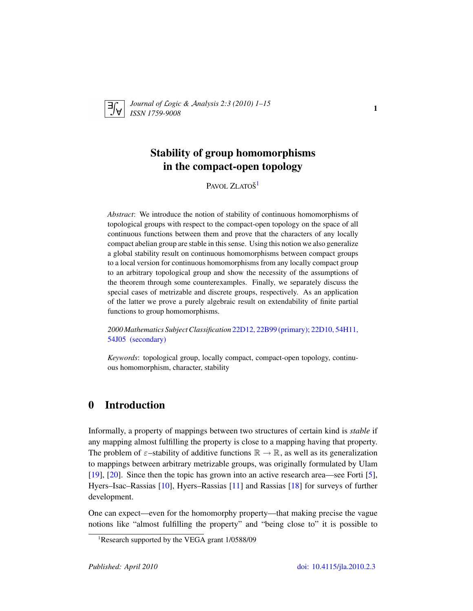

*Journal of* L*ogic &* A*nalysis 2:3 (2010) 1–15 ISSN 1759-9008* 1

# Stability of group homomorphisms in the compact-open topology

Pavol Zlatoš<sup>[1](#page-0-0)</sup>

*Abstract*: We introduce the notion of stability of continuous homomorphisms of topological groups with respect to the compact-open topology on the space of all continuous functions between them and prove that the characters of any locally compact abelian group are stable in this sense. Using this notion we also generalize a global stability result on continuous homomorphisms between compact groups to a local version for continuous homomorphisms from any locally compact group to an arbitrary topological group and show the necessity of the assumptions of the theorem through some counterexamples. Finally, we separately discuss the special cases of metrizable and discrete groups, respectively. As an application of the latter we prove a purely algebraic result on extendability of finite partial functions to group homomorphisms.

*2000 Mathematics Subject Classification* [22D12, 22B99 \(primary\); 22D10, 54H11,](http://www.ams.org/mathscinet/search/mscdoc.html?code=22D12, 22B99,(22D10, 54H11, 54J05 )) [54J05 \(secondary\)](http://www.ams.org/mathscinet/search/mscdoc.html?code=22D12, 22B99,(22D10, 54H11, 54J05 ))

*Keywords*: topological group, locally compact, compact-open topology, continuous homomorphism, character, stability

## 0 Introduction

Informally, a property of mappings between two structures of certain kind is *stable* if any mapping almost fulfilling the property is close to a mapping having that property. The problem of  $\varepsilon$ –stability of additive functions  $\mathbb{R} \to \mathbb{R}$ , as well as its generalization to mappings between arbitrary metrizable groups, was originally formulated by Ulam [\[19\]](#page-14-0), [\[20\]](#page-14-1). Since then the topic has grown into an active research area—see Forti [\[5\]](#page-14-2), Hyers–Isac–Rassias [\[10\]](#page-14-3), Hyers–Rassias [\[11\]](#page-14-4) and Rassias [\[18\]](#page-14-5) for surveys of further development.

One can expect—even for the homomorphy property—that making precise the vague notions like "almost fulfilling the property" and "being close to" it is possible to

<span id="page-0-0"></span><sup>&</sup>lt;sup>1</sup>Research supported by the VEGA grant 1/0588/09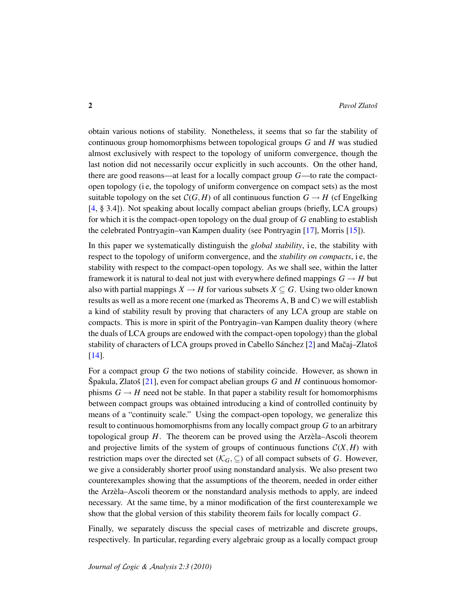obtain various notions of stability. Nonetheless, it seems that so far the stability of continuous group homomorphisms between topological groups *G* and *H* was studied almost exclusively with respect to the topology of uniform convergence, though the last notion did not necessarily occur explicitly in such accounts. On the other hand, there are good reasons—at least for a locally compact group *G*—to rate the compactopen topology (i e, the topology of uniform convergence on compact sets) as the most suitable topology on the set  $C(G, H)$  of all continuous function  $G \rightarrow H$  (cf Engelking [\[4,](#page-13-0) § 3.4]). Not speaking about locally compact abelian groups (briefly, LCA groups) for which it is the compact-open topology on the dual group of *G* enabling to establish the celebrated Pontryagin–van Kampen duality (see Pontryagin [\[17\]](#page-14-6), Morris [\[15\]](#page-14-7)).

In this paper we systematically distinguish the *global stability*, i.e, the stability with respect to the topology of uniform convergence, and the *stability on compacts*, i.e., the stability with respect to the compact-open topology. As we shall see, within the latter framework it is natural to deal not just with everywhere defined mappings  $G \rightarrow H$  but also with partial mappings  $X \to H$  for various subsets  $X \subseteq G$ . Using two older known results as well as a more recent one (marked as Theorems A, B and C) we will establish a kind of stability result by proving that characters of any LCA group are stable on compacts. This is more in spirit of the Pontryagin–van Kampen duality theory (where the duals of LCA groups are endowed with the compact-open topology) than the global stability of characters of LCA groups proved in Cabello Sánchez  $[2]$  $[2]$  and Mačaj–Zlatoš [\[14\]](#page-14-8).

For a compact group *G* the two notions of stability coincide. However, as shown in  $\text{Špakula}, \text{Zlatoš } [21], \text{even for compact abelian groups } G \text{ and } H \text{ continuous homomorphism } \text{Tr} \{ \text{Tr} \{ \text{Tr} \{ \text{Tr} \} \}$  $\text{Špakula}, \text{Zlatoš } [21], \text{even for compact abelian groups } G \text{ and } H \text{ continuous homomorphism } \text{Tr} \{ \text{Tr} \{ \text{Tr} \{ \text{Tr} \} \}$  $\text{Špakula}, \text{Zlatoš } [21], \text{even for compact abelian groups } G \text{ and } H \text{ continuous homomorphism } \text{Tr} \{ \text{Tr} \{ \text{Tr} \{ \text{Tr} \} \}$ phisms  $G \to H$  need not be stable. In that paper a stability result for homomorphisms between compact groups was obtained introducing a kind of controlled continuity by means of a "continuity scale." Using the compact-open topology, we generalize this result to continuous homomorphisms from any locally compact group *G* to an arbitrary topological group  $H$ . The theorem can be proved using the Arzela–Ascoli theorem and projective limits of the system of groups of continuous functions  $C(X, H)$  with restriction maps over the directed set ( $\mathcal{K}_G$ ,  $\subseteq$ ) of all compact subsets of *G*. However, we give a considerably shorter proof using nonstandard analysis. We also present two counterexamples showing that the assumptions of the theorem, needed in order either the Arzela–Ascoli theorem or the nonstandard analysis methods to apply, are indeed ` necessary. At the same time, by a minor modification of the first counterexample we show that the global version of this stability theorem fails for locally compact *G*.

Finally, we separately discuss the special cases of metrizable and discrete groups, respectively. In particular, regarding every algebraic group as a locally compact group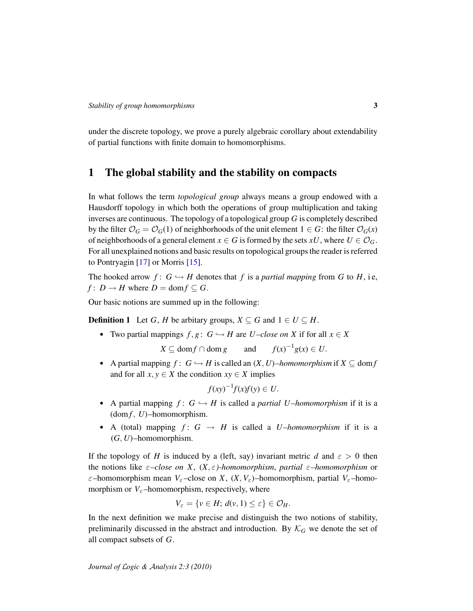under the discrete topology, we prove a purely algebraic corollary about extendability of partial functions with finite domain to homomorphisms.

#### 1 The global stability and the stability on compacts

In what follows the term *topological group* always means a group endowed with a Hausdorff topology in which both the operations of group multiplication and taking inverses are continuous. The topology of a topological group *G* is completely described by the filter  $\mathcal{O}_G = \mathcal{O}_G(1)$  of neighborhoods of the unit element  $1 \in G$ : the filter  $\mathcal{O}_G(x)$ of neighborhoods of a general element  $x \in G$  is formed by the sets  $xU$ , where  $U \in \mathcal{O}_G$ . For all unexplained notions and basic results on topological groups the reader is referred to Pontryagin [\[17\]](#page-14-6) or Morris [\[15\]](#page-14-7).

The hooked arrow  $f: G \hookrightarrow H$  denotes that  $f$  is a *partial mapping* from  $G$  to  $H$ , i.e. *f* :  $D \rightarrow H$  where  $D = \text{dom } f \subseteq G$ .

Our basic notions are summed up in the following:

**Definition 1** Let *G*, *H* be arbitary groups,  $X \subseteq G$  and  $1 \in U \subseteq H$ .

• Two partial mappings  $f, g: G \hookrightarrow H$  are *U*-close on X if for all  $x \in X$ 

 $X \subseteq \text{dom } f \cap \text{dom } g$  and  $f(x)^{-1}g(x) \in U$ .

• A partial mapping  $f: G \hookrightarrow H$  is called an  $(X, U)$ –homomorphism if  $X \subseteq \text{dom } f$ and for all  $x, y \in X$  the condition  $xy \in X$  implies

$$
f(xy)^{-1}f(x)f(y) \in U.
$$

- A partial mapping  $f: G \hookrightarrow H$  is called a *partial U*-homomorphism if it is a  $dom f, U$ )–homomorphism.
- A (total) mapping  $f: G \rightarrow H$  is called a *U*-homomorphism if it is a (*G*, *U*)–homomorphism.

If the topology of *H* is induced by a (left, say) invariant metric *d* and  $\varepsilon > 0$  then the notions like ε*–close on X*, (*X*, ε*)-homomorphism*, *partial* ε*–homomorphism* or  $\varepsilon$ –homomorphism mean  $V_{\varepsilon}$ –close on *X*,  $(X, V_{\varepsilon})$ –homomorphism, partial  $V_{\varepsilon}$ –homomorphism or  $V_{\varepsilon}$ –homomorphism, respectively, where

$$
V_{\varepsilon} = \{ v \in H; d(v, 1) \le \varepsilon \} \in \mathcal{O}_H.
$$

In the next definition we make precise and distinguish the two notions of stability, preliminarily discussed in the abstract and introduction. By  $\mathcal{K}_G$  we denote the set of all compact subsets of *G*.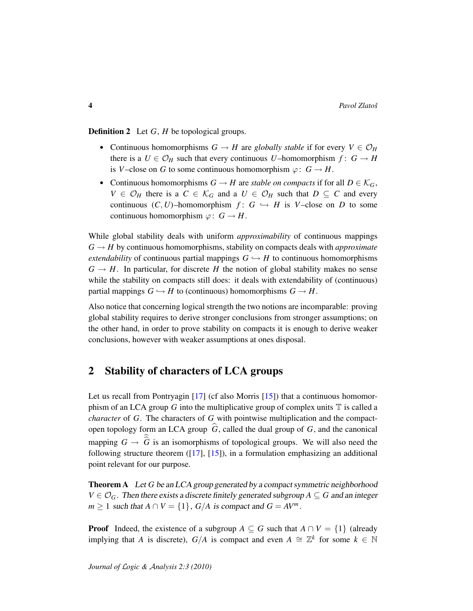Definition 2 Let *G*, *H* be topological groups.

- Continuous homomorphisms  $G \to H$  are *globally stable* if for every  $V \in \mathcal{O}_H$ there is a  $U \in \mathcal{O}_H$  such that every continuous *U*–homomorphism  $f: G \to H$ is *V*–close on *G* to some continuous homomorphism  $\varphi: G \to H$ .
- Continuous homomorphisms  $G \to H$  are *stable on compacts* if for all  $D \in \mathcal{K}_G$ , *V* ∈  $\mathcal{O}_H$  there is a *C* ∈  $\mathcal{K}_G$  and a *U* ∈  $\mathcal{O}_H$  such that *D* ⊆ *C* and every continuous  $(C, U)$ –homomorphism  $f: G \hookrightarrow H$  is  $V$ –close on *D* to some continuous homomorphism  $\varphi: G \to H$ .

While global stability deals with uniform *approximability* of continuous mappings  $G \rightarrow H$  by continuous homomorphisms, stability on compacts deals with *approximate extendability* of continuous partial mappings  $G \hookrightarrow H$  to continuous homomorphisms  $G \rightarrow H$ . In particular, for discrete *H* the notion of global stability makes no sense while the stability on compacts still does: it deals with extendability of (continuous) partial mappings  $G \hookrightarrow H$  to (continuous) homomorphisms  $G \rightarrow H$ .

Also notice that concerning logical strength the two notions are incomparable: proving global stability requires to derive stronger conclusions from stronger assumptions; on the other hand, in order to prove stability on compacts it is enough to derive weaker conclusions, however with weaker assumptions at ones disposal.

### 2 Stability of characters of LCA groups

Let us recall from Pontryagin [\[17\]](#page-14-6) (cf also Morris [\[15\]](#page-14-7)) that a continuous homomorphism of an LCA group  $G$  into the multiplicative group of complex units  $\mathbb T$  is called a *character* of *G*. The characters of *G* with pointwise multiplication and the compactopen topology form an LCA group  $\hat{G}$ , called the dual group of *G*, and the canonical mapping  $G \to G$  is an isomorphisms of topological groups. We will also need the following structure theorem ([\[17\]](#page-14-6), [\[15\]](#page-14-7)), in a formulation emphasizing an additional point relevant for our purpose.

<span id="page-3-0"></span>Theorem A Let *G* be an LCA group generated by a compact symmetric neighborhood  $V \in \mathcal{O}_G$ . Then there exists a discrete finitely generated subgroup  $A \subseteq G$  and an integer *m* > 1 such that  $A \cap V = \{1\}$ ,  $G/A$  is compact and  $G = AV^m$ .

**Proof** Indeed, the existence of a subgroup  $A \subseteq G$  such that  $A \cap V = \{1\}$  (already implying that *A* is discrete),  $G/A$  is compact and even  $A \cong \mathbb{Z}^k$  for some  $k \in \mathbb{N}$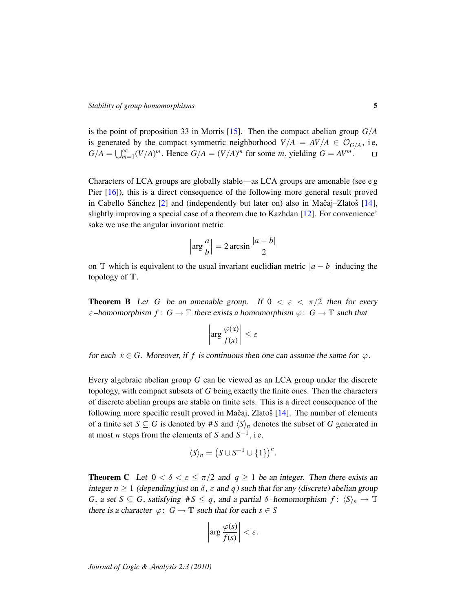is the point of proposition 33 in Morris [\[15\]](#page-14-7). Then the compact abelian group *G*/*A* is generated by the compact symmetric neighborhood  $V/A = AV/A \in \mathcal{O}_{G/A}$ , i.e,  $G/A = \bigcup_{m=1}^{\infty} (V/A)^m$ . Hence  $G/A = (V/A)^m$  for some *m*, yielding  $G = AV^m$ .  $\Box$ 

Characters of LCA groups are globally stable—as LCA groups are amenable (see e g Pier [\[16\]](#page-14-10)), this is a direct consequence of the following more general result proved in Cabello Sánchez  $[2]$  $[2]$  and (independently but later on) also in Mačaj–Zlatoš  $[14]$  $[14]$ , slightly improving a special case of a theorem due to Kazhdan [\[12\]](#page-14-11). For convenience' sake we use the angular invariant metric

$$
\left|\arg\frac{a}{b}\right| = 2\arcsin\frac{|a-b|}{2}
$$

on T which is equivalent to the usual invariant euclidian metric  $|a - b|$  inducing the topology of T.

<span id="page-4-0"></span>**Theorem B** Let *G* be an amenable group. If  $0 < \varepsilon < \pi/2$  then for every  $\varepsilon$ –homomorphism  $f: G \to \mathbb{T}$  there exists a homomorphism  $\varphi: G \to \mathbb{T}$  such that

$$
\left|\arg \frac{\varphi(x)}{f(x)}\right| \leq \varepsilon
$$

for each  $x \in G$ . Moreover, if f is continuous then one can assume the same for  $\varphi$ .

Every algebraic abelian group *G* can be viewed as an LCA group under the discrete topology, with compact subsets of *G* being exactly the finite ones. Then the characters of discrete abelian groups are stable on finite sets. This is a direct consequence of the following more specific result proved in Mačaj, Zlatoš  $[14]$  $[14]$ . The number of elements of a finite set  $S \subseteq G$  is denoted by # *S* and  $\langle S \rangle_n$  denotes the subset of *G* generated in at most *n* steps from the elements of *S* and  $S^{-1}$ , i.e,

$$
\langle S \rangle_n = \left( S \cup S^{-1} \cup \{1\} \right)^n.
$$

<span id="page-4-1"></span>**Theorem C** Let  $0 < \delta < \epsilon \leq \pi/2$  and  $q \geq 1$  be an integer. Then there exists an integer  $n \geq 1$  (depending just on  $\delta$ ,  $\varepsilon$  and  $q$ ) such that for any (discrete) abelian group *G*, a set  $S \subseteq G$ , satisfying  $\#S \leq q$ , and a partial  $\delta$ -homomorphism  $f: \langle S \rangle_n \to \mathbb{T}$ there is a character  $\varphi: G \to \mathbb{T}$  such that for each  $s \in S$ 

$$
\left|\arg \frac{\varphi(s)}{f(s)}\right| < \varepsilon.
$$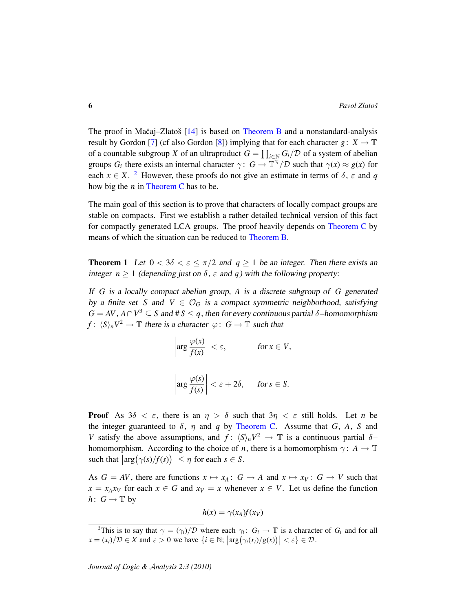The proof in Mačaj–Zlatoš  $[14]$  $[14]$  is based on [Theorem B](#page-4-0) and a nonstandard-analysis result by Gordon [\[7\]](#page-14-12) (cf also Gordon [\[8\]](#page-14-13)) implying that for each character *g* :  $X \to \mathbb{T}$ of a countable subgroup *X* of an ultraproduct  $G = \prod_{i \in \mathbb{N}} G_i / \mathcal{D}$  of a system of abelian groups  $G_i$  there exists an internal character  $\gamma: G \to \mathbb{T}^N/\mathcal{D}$  such that  $\gamma(x) \approx g(x)$  for each  $x \in X$ . <sup>[2](#page-5-0)</sup> However, these proofs do not give an estimate in terms of  $\delta$ ,  $\varepsilon$  and  $q$ how big the *n* in [Theorem C](#page-4-1) has to be.

The main goal of this section is to prove that characters of locally compact groups are stable on compacts. First we establish a rather detailed technical version of this fact for compactly generated LCA groups. The proof heavily depends on [Theorem C](#page-4-1) by means of which the situation can be reduced to [Theorem B.](#page-4-0)

<span id="page-5-1"></span>**Theorem 1** Let  $0 < 3\delta < \varepsilon \le \pi/2$  and  $q \ge 1$  be an integer. Then there exists an integer  $n \ge 1$  (depending just on  $\delta$ ,  $\varepsilon$  and  $q$ ) with the following property:

If *G* is a locally compact abelian group, *A* is a discrete subgroup of *G* generated by a finite set *S* and  $V \in \mathcal{O}_G$  is a compact symmetric neighborhood, satisfying  $G = AV$ ,  $A \cap V^3 \subseteq S$  and  $\#S \leq q$ , then for every continuous partial  $\delta$ –homomorphism *f* :  $\langle S \rangle_n V^2 \to \mathbb{T}$  there is a character  $\varphi : G \to \mathbb{T}$  such that

$$
\left| \arg \frac{\varphi(x)}{f(x)} \right| < \varepsilon, \quad \text{for } x \in V,
$$
\n
$$
\left| \arg \frac{\varphi(s)}{f(s)} \right| < \varepsilon + 2\delta, \quad \text{for } s \in S.
$$

**Proof** As  $3\delta < \varepsilon$ , there is an  $\eta > \delta$  such that  $3\eta < \varepsilon$  still holds. Let *n* be the integer guaranteed to  $\delta$ ,  $\eta$  and  $q$  by [Theorem C.](#page-4-1) Assume that  $G$ ,  $A$ ,  $S$  and *V* satisfy the above assumptions, and  $f: \langle S \rangle_n V^2 \to \mathbb{T}$  is a continuous partial  $\delta$ – homomorphism. According to the choice of *n*, there is a homomorphism  $\gamma: A \to \mathbb{T}$ such that  $\left|\arg(\gamma(s)/f(s))\right| \leq \eta$  for each  $s \in S$ .

As  $G = AV$ , there are functions  $x \mapsto x_A : G \to A$  and  $x \mapsto x_V : G \to V$  such that  $x = x_A x_V$  for each  $x \in G$  and  $x_V = x$  whenever  $x \in V$ . Let us define the function *h* :  $G \rightarrow \mathbb{T}$  by

$$
h(x) = \gamma(x_A) f(x_V)
$$

<span id="page-5-0"></span><sup>&</sup>lt;sup>2</sup>This is to say that  $\gamma = (\gamma_i)/\mathcal{D}$  where each  $\gamma_i: G_i \to \mathbb{T}$  is a character of  $G_i$  and for all  $x = (x_i)/\mathcal{D} \in X$  and  $\varepsilon > 0$  we have  $\{i \in \mathbb{N}; |\arg(\gamma_i(x_i)/g(x))| < \varepsilon\} \in \mathcal{D}$ .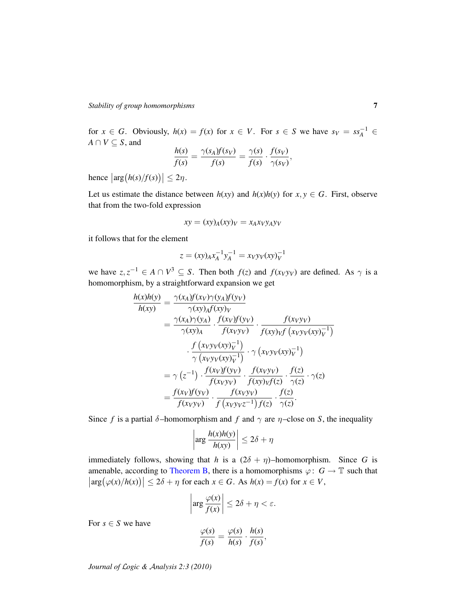for  $x \in G$ . Obviously,  $h(x) = f(x)$  for  $x \in V$ . For  $s \in S$  we have  $s_V = ss_A^{-1} \in$  $A \cap V \subseteq S$ , and

$$
\frac{h(s)}{f(s)} = \frac{\gamma(s_A)f(s_V)}{f(s)} = \frac{\gamma(s)}{f(s)} \cdot \frac{f(s_V)}{\gamma(s_V)},
$$

hence  $\left|\arg(h(s)/f(s))\right| \leq 2\eta$ .

Let us estimate the distance between  $h(xy)$  and  $h(x)h(y)$  for  $x, y \in G$ . First, observe that from the two-fold expression

$$
xy = (xy)_A(xy)_V = x_Axyy_Ay_V
$$

it follows that for the element

$$
z = (xy)_A x_A^{-1} y_A^{-1} = x_V y_V(xy)_V^{-1}
$$

we have  $z, z^{-1} \in A \cap V^3 \subseteq S$ . Then both  $f(z)$  and  $f(x_V y_V)$  are defined. As  $\gamma$  is a homomorphism, by a straightforward expansion we get

$$
\frac{h(x)h(y)}{h(xy)} = \frac{\gamma(x_A)f(x_V)\gamma(y_A)f(y_V)}{\gamma(xy_Af(xy_V)} \n= \frac{\gamma(x_A)\gamma(y_A) \cdot f(xy)f(y_V)}{\gamma(xy_A) \cdot f(xy_Vy)} \cdot \frac{f(xy)_Vf(x_Vy_V)}{f(xy)_Vf(x_Vy_V(xy_V)} \cdot \frac{f(x_Vy)_Vf(x_Vy_V(y_V))}{\gamma(xy_V(x_Vy_V)} \cdot \frac{f(x_Vy_V)(xy)_V}{f(xy_V)(x_Vy_V)} \cdot \frac{f(z)}{f(z_Vy_V)(x_V)} \cdot \frac{f(z)}{f(z_Vy_V)} \cdot \frac{f(z)}{f(x_Vy_V)} \cdot \frac{f(z)}{f(x_Vy_V)(x_V)} \cdot \frac{f(z)}{f(z_Vy_V)(x_V)} \cdot \frac{f(z)}{f(z_Vy_V)(x_V)} \cdot \frac{f(z)}{f(z_Vy_V)(x_V)} \cdot \frac{f(z)}{f(z_Vy_V)(x_V)} \cdot \frac{f(z)}{f(z_Vy_V)(x_V)} \cdot \frac{f(z)}{f(z_Vy_V)(x_V)} \cdot \frac{f(z)}{f(z_Vy_V)(x_V)} \cdot \frac{f(z)}{f(z_Vy_V)(x_V)} \cdot \frac{f(z)}{f(z_Vy_V)(x_V)} \cdot \frac{f(z)}{f(z_Vy_V)(x_V)} \cdot \frac{f(z)}{f(z_Vy_V)(x_V)} \cdot \frac{f(z)}{f(z_Vy_V)(x_V)} \cdot \frac{f(z)}{f(z_Vy_V)(x_V)} \cdot \frac{f(z)}{f(z_Vy_V)(x_V)} \cdot \frac{f(z)}{f(z_Vy_V)(x_V)} \cdot \frac{f(z)}{f(z_Vy_V)(x_V)} \cdot \frac{f(z)}{f(z_Vy_V)(x_V)} \cdot \frac{f(z)}{f(z_Vy_V)(x_V)} \cdot \frac{f(z)}{f(z_Vy_V)(x_V)} \cdot \frac{f(z)}{f(z_Vy_V)(x_V)} \cdot \frac{f(z)}{f(z_Vy_V)(x_V)} \cdot \frac{f(z)}{f(z_Vy_V)(x_V)} \cdot \frac{f(z)}{f(z_Vy_V)(x_V)} \cdot \frac{f(z)}{f(z_Vy_V)(x_V)} \cdot \frac{f(z)}{f(z_Vy_V)(x_V)} \cdot \frac{f(z)}{f(z_Vy_V)(x_V)} \cdot \frac{f(z)}{f(z_Vy_V)(x_V)} \cdot \frac{f(z)}{f(z_Vy_V)(x_V)} \cdot \frac{f(z)}{f(z_Vy_V)(x_V)} \cdot \frac{f(z)}{f(z_Vy_V)(x
$$

Since *f* is a partial  $\delta$ -homomorphism and *f* and  $\gamma$  are  $\eta$ -close on *S*, the inequality

$$
\left|\arg\frac{h(x)h(y)}{h(xy)}\right| \le 2\delta + \eta
$$

immediately follows, showing that *h* is a  $(2\delta + \eta)$ –homomorphism. Since *G* is amenable, according to [Theorem B,](#page-4-0) there is a homomorphisms  $\varphi: G \to \mathbb{T}$  such that  $\left|\arg(\varphi(x)/h(x))\right| \leq 2\delta + \eta$  for each  $x \in G$ . As  $h(x) = f(x)$  for  $x \in V$ ,

$$
\left|\arg\frac{\varphi(x)}{f(x)}\right|\leq 2\delta+\eta<\varepsilon.
$$

For  $s \in S$  we have

$$
\frac{\varphi(s)}{f(s)} = \frac{\varphi(s)}{h(s)} \cdot \frac{h(s)}{f(s)},
$$

*Journal of* L*ogic &* A*nalysis 2:3 (2010)*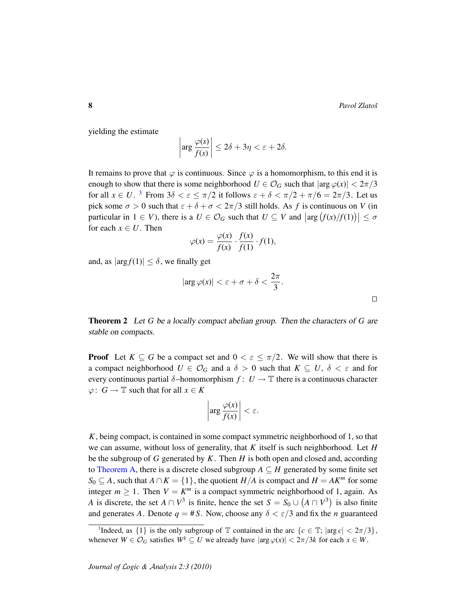yielding the estimate

$$
\left|\arg \frac{\varphi(s)}{f(s)}\right| \le 2\delta + 3\eta < \varepsilon + 2\delta.
$$

It remains to prove that  $\varphi$  is continuous. Since  $\varphi$  is a homomorphism, to this end it is enough to show that there is some neighborhood  $U \in \mathcal{O}_G$  such that  $|\arg \varphi(x)| < 2\pi/3$ for all  $x \in U$ . <sup>[3](#page-7-0)</sup> From  $3\delta < \varepsilon \leq \pi/2$  it follows  $\varepsilon + \delta < \pi/2 + \pi/6 = 2\pi/3$ . Let us pick some  $\sigma > 0$  such that  $\varepsilon + \delta + \sigma < 2\pi/3$  still holds. As f is continuous on V (in particular in  $1 \in V$ ), there is a  $U \in \mathcal{O}_G$  such that  $U \subseteq V$  and  $\left|\arg\left(\frac{f(x)}{f(1)}\right)\right| \leq \sigma$ for each  $x \in U$ . Then

$$
\varphi(x) = \frac{\varphi(x)}{f(x)} \cdot \frac{f(x)}{f(1)} \cdot f(1),
$$

and, as  $|\arg f(1)| \leq \delta$ , we finally get

$$
|\arg \varphi(x)| < \varepsilon + \sigma + \delta < \frac{2\pi}{3}.
$$

<span id="page-7-1"></span>Theorem 2 Let *G* be a locally compact abelian group. Then the characters of *G* are stable on compacts.

**Proof** Let  $K \subseteq G$  be a compact set and  $0 < \varepsilon \leq \pi/2$ . We will show that there is a compact neighborhood  $U \in \mathcal{O}_G$  and a  $\delta > 0$  such that  $K \subseteq U$ ,  $\delta < \varepsilon$  and for every continuous partial  $\delta$ -homomorphism  $f: U \to \mathbb{T}$  there is a continuous character  $\varphi: G \to \mathbb{T}$  such that for all  $x \in K$ 

$$
\left|\arg\frac{\varphi(x)}{f(x)}\right|<\varepsilon.
$$

*K*, being compact, is contained in some compact symmetric neighborhood of 1, so that we can assume, without loss of generality, that *K* itself is such neighborhood. Let *H* be the subgroup of *G* generated by *K*. Then *H* is both open and closed and, according to [Theorem A,](#page-3-0) there is a discrete closed subgroup  $A \subseteq H$  generated by some finite set *S*<sup>0</sup> ⊆ *A*, such that *A* ∩ *K* = {1}, the quotient *H*/*A* is compact and *H* = *AK<sup><i>m*</sup> for some integer  $m \ge 1$ . Then  $V = K^m$  is a compact symmetric neighborhood of 1, again. As *A* is discrete, the set  $A \cap V^3$  is finite, hence the set  $S = S_0 \cup (A \cap V^3)$  is also finite and generates *A*. Denote  $q = #S$ . Now, choose any  $\delta < \varepsilon/3$  and fix the *n* guaranteed

<span id="page-7-0"></span><sup>&</sup>lt;sup>3</sup>Indeed, as  $\{1\}$  is the only subgroup of  $\mathbb T$  contained in the arc  $\{c \in \mathbb T; |arg c| < 2\pi/3\}$ , whenever  $W \in \mathcal{O}_G$  satisfies  $W^k \subseteq U$  we already have  $|\arg \varphi(x)| < 2\pi/3k$  for each  $x \in W$ .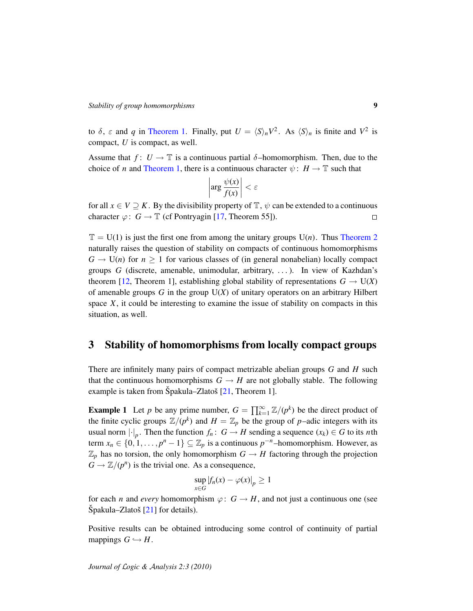to  $\delta$ ,  $\varepsilon$  and *q* in [Theorem 1.](#page-5-1) Finally, put  $U = \langle S \rangle_n V^2$ . As  $\langle S \rangle_n$  is finite and  $V^2$  is compact, *U* is compact, as well.

Assume that  $f: U \to \mathbb{T}$  is a continuous partial  $\delta$ -homomorphism. Then, due to the choice of *n* and [Theorem 1,](#page-5-1) there is a continuous character  $\psi : H \to \mathbb{T}$  such that

$$
\left|\arg \frac{\psi(x)}{f(x)}\right| < \varepsilon
$$

for all  $x \in V \supseteq K$ . By the divisibility property of  $\mathbb{T}$ ,  $\psi$  can be extended to a continuous character  $\varphi: G \to \mathbb{T}$  (cf Pontryagin [\[17,](#page-14-6) Theorem 55]).  $\Box$ 

 $\mathbb{T} = U(1)$  is just the first one from among the unitary groups  $U(n)$ . Thus [Theorem 2](#page-7-1) naturally raises the question of stability on compacts of continuous homomorphisms  $G \to U(n)$  for  $n \geq 1$  for various classes of (in general nonabelian) locally compact groups *G* (discrete, amenable, unimodular, arbitrary, . . . ). In view of Kazhdan's theorem [\[12,](#page-14-11) Theorem 1], establishing global stability of representations  $G \to U(X)$ of amenable groups *G* in the group U(*X*) of unitary operators on an arbitrary Hilbert space  $X$ , it could be interesting to examine the issue of stability on compacts in this situation, as well.

#### 3 Stability of homomorphisms from locally compact groups

There are infinitely many pairs of compact metrizable abelian groups *G* and *H* such that the continuous homomorphisms  $G \to H$  are not globally stable. The following example is taken from Špakula–Zlatoš  $[21,$  $[21,$  Theorem 1].

<span id="page-8-0"></span>**Example 1** Let *p* be any prime number,  $G = \prod_{k=1}^{\infty} \mathbb{Z}/(p^k)$  be the direct product of the finite cyclic groups  $\mathbb{Z}/(p^k)$  and  $H = \mathbb{Z}_p$  be the group of *p*–adic integers with its usual norm  $\lvert \cdot \rvert_p$ . Then the function  $f_n: G \to H$  sending a sequence  $(x_k) \in G$  to its *n*th term  $x_n \in \{0, 1, \ldots, p^n - 1\} \subseteq \mathbb{Z}_p$  is a continuous  $p^{-n}$ –homomorphism. However, as  $\mathbb{Z}_p$  has no torsion, the only homomorphism  $G \to H$  factoring through the projection  $\overline{G} \to \mathbb{Z}/(p^n)$  is the trivial one. As a consequence,

$$
\sup_{x \in G} |f_n(x) - \varphi(x)|_p \ge 1
$$

for each *n* and *every* homomorphism  $\varphi: G \to H$ , and not just a continuous one (see  $\text{Špakula}$ –Zlatoš [[21\]](#page-14-9) for details).

Positive results can be obtained introducing some control of continuity of partial mappings  $G \hookrightarrow H$ .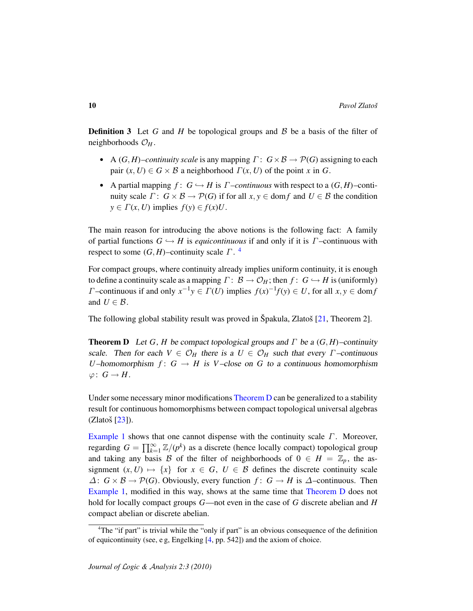**Definition 3** Let G and H be topological groups and B be a basis of the filter of neighborhoods  $\mathcal{O}_H$ .

- A  $(G, H)$ –*continuity scale* is any mapping  $\Gamma: G \times \mathcal{B} \to \mathcal{P}(G)$  assigning to each pair  $(x, U) \in G \times B$  a neighborhood  $\Gamma(x, U)$  of the point *x* in *G*.
- A partial mapping  $f: G \hookrightarrow H$  is  $\Gamma$ *–continuous* with respect to a  $(G,H)$ –continuity scale  $\Gamma: G \times \mathcal{B} \to \mathcal{P}(G)$  if for all  $x, y \in \text{dom } f$  and  $U \in \mathcal{B}$  the condition  $y \in \Gamma(x, U)$  implies  $f(y) \in f(x)U$ .

The main reason for introducing the above notions is the following fact: A family of partial functions  $G \hookrightarrow H$  is *equicontinuous* if and only if it is  $\Gamma$ -continuous with respect to some  $(G, H)$ –continuity scale  $\Gamma$ .<sup>[4](#page-9-0)</sup>

For compact groups, where continuity already implies uniform continuity, it is enough to define a continuity scale as a mapping  $\Gamma: \mathcal{B} \to \mathcal{O}_H$ ; then  $f: G \hookrightarrow H$  is (uniformly) *Γ*—continuous if and only  $x^{-1}y \in \Gamma(U)$  implies  $f(x)^{-1}f(y) \in U$ , for all  $x, y \in \text{dom } f$ and  $U \in \mathcal{B}$ .

The following global stability result was proved in Špakula, Zlatoš  $[21,$  $[21,$  Theorem 2].

<span id="page-9-1"></span>**Theorem D** Let *G*, *H* be compact topological groups and  $\Gamma$  be a  $(G, H)$ –continuity scale. Then for each  $V \in \mathcal{O}_H$  there is a  $U \in \mathcal{O}_H$  such that every  $\Gamma$ -continuous *U*–homomorphism  $f: G \to H$  is *V*–close on *G* to a continuous homomorphism  $\varphi\colon G\to H$ .

Under some necessary minor modifications [Theorem D](#page-9-1) can be generalized to a stability result for continuous homomorphisms between compact topological universal algebras  $(Z$ latoš  $[23]$  $[23]$ ).

[Example 1](#page-8-0) shows that one cannot dispense with the continuity scale  $\Gamma$ . Moreover, regarding  $G = \prod_{k=1}^{\infty} \mathbb{Z}/(p^k)$  as a discrete (hence locally compact) topological group and taking any basis B of the filter of neighborhoods of  $0 \in H = \mathbb{Z}_p$ , the assignment  $(x, U) \mapsto \{x\}$  for  $x \in G$ ,  $U \in \mathcal{B}$  defines the discrete continuity scale  $\Delta$ : *G* × *B* →  $\mathcal{P}(G)$ . Obviously, every function *f* : *G* → *H* is  $\Delta$ -continuous. Then [Example 1,](#page-8-0) modified in this way, shows at the same time that [Theorem D](#page-9-1) does not hold for locally compact groups *G*—not even in the case of *G* discrete abelian and *H* compact abelian or discrete abelian.

<span id="page-9-0"></span><sup>&</sup>lt;sup>4</sup>The "if part" is trivial while the "only if part" is an obvious consequence of the definition of equicontinuity (see, e g, Engelking [\[4,](#page-13-0) pp. 542]) and the axiom of choice.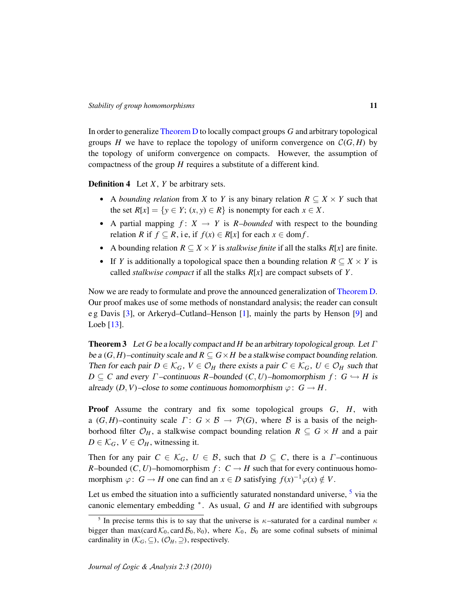In order to generalize [Theorem D](#page-9-1) to locally compact groups *G* and arbitrary topological groups *H* we have to replace the topology of uniform convergence on  $\mathcal{C}(G, H)$  by the topology of uniform convergence on compacts. However, the assumption of compactness of the group *H* requires a substitute of a different kind.

Definition 4 Let *X*, *Y* be arbitrary sets.

- A *bounding relation* from *X* to *Y* is any binary relation  $R \subseteq X \times Y$  such that the set  $R[x] = \{y \in Y; (x, y) \in R\}$  is nonempty for each  $x \in X$ .
- A partial mapping  $f: X \rightarrow Y$  is *R-bounded* with respect to the bounding relation *R* if  $f \subseteq R$ , i.e, if  $f(x) \in R[x]$  for each  $x \in \text{dom } f$ .
- A bounding relation  $R \subseteq X \times Y$  is *stalkwise finite* if all the stalks  $R[x]$  are finite.
- If *Y* is additionally a topological space then a bounding relation  $R \subseteq X \times Y$  is called *stalkwise compact* if all the stalks *R*[*x*] are compact subsets of *Y* .

Now we are ready to formulate and prove the announced generalization of [Theorem D.](#page-9-1) Our proof makes use of some methods of nonstandard analysis; the reader can consult e g Davis [\[3\]](#page-13-2), or Arkeryd–Cutland–Henson [\[1\]](#page-13-3), mainly the parts by Henson [\[9\]](#page-14-15) and Loeb [\[13\]](#page-14-16).

<span id="page-10-1"></span>Theorem 3 Let *G* be a locally compact and *H* be an arbitrary topological group. Let Γ be a  $(G, H)$ –continuity scale and  $R \subseteq G \times H$  be a stalkwise compact bounding relation. Then for each pair  $D \in \mathcal{K}_G$ ,  $V \in \mathcal{O}_H$  there exists a pair  $C \in \mathcal{K}_G$ ,  $U \in \mathcal{O}_H$  such that  $D \subseteq C$  and every  $\Gamma$ -continuous  $R$ -bounded  $(C, U)$ -homomorphism  $f: G \hookrightarrow H$  is already  $(D, V)$ –close to some continuous homomorphism  $\varphi: G \to H$ .

Proof Assume the contrary and fix some topological groups *G*, *H*, with a  $(G, H)$ –continuity scale  $\Gamma: G \times B \to \mathcal{P}(G)$ , where B is a basis of the neighborhood filter  $\mathcal{O}_H$ , a stalkwise compact bounding relation  $R \subseteq G \times H$  and a pair  $D \in \mathcal{K}_G$ ,  $V \in \mathcal{O}_H$ , witnessing it.

Then for any pair  $C \in \mathcal{K}_G$ ,  $U \in \mathcal{B}$ , such that  $D \subseteq C$ , there is a *Γ*-continuous *R*–bounded (*C*, *U*)–homomorphism  $f: C \rightarrow H$  such that for every continuous homomorphism  $\varphi: G \to H$  one can find an  $x \in D$  satisfying  $f(x)^{-1} \varphi(x) \notin V$ .

Let us embed the situation into a sufficiently saturated nonstandard universe, <sup>[5](#page-10-0)</sup> via the canonic elementary embedding <sup>∗</sup> . As usual, *G* and *H* are identified with subgroups

<span id="page-10-0"></span><sup>&</sup>lt;sup>5</sup> In precise terms this is to say that the universe is  $\kappa$ -saturated for a cardinal number  $\kappa$ bigger than max(card  $K_0$ , card  $\mathcal{B}_0$ ,  $\aleph_0$ ), where  $\mathcal{K}_0$ ,  $\mathcal{B}_0$  are some cofinal subsets of minimal cardinality in  $(\mathcal{K}_G, \subseteq), (\mathcal{O}_H, \supseteq),$  respectively.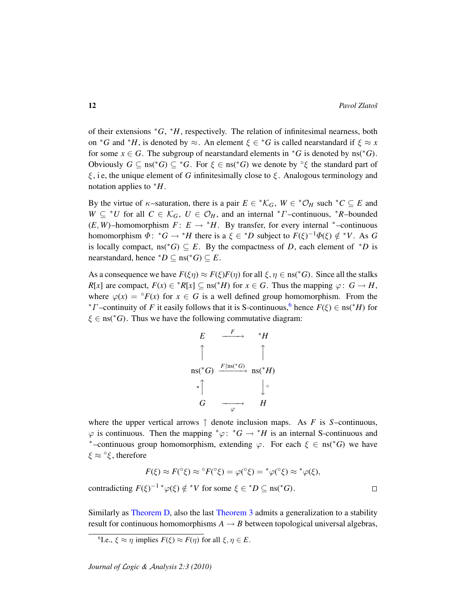of their extensions <sup>∗</sup>*G*, <sup>∗</sup>*H*, respectively. The relation of infinitesimal nearness, both on <sup>\*</sup>*G* and <sup>\*</sup>*H*, is denoted by  $\approx$ . An element  $\xi \in {}^*G$  is called nearstandard if  $\xi \approx x$ for some  $x \in G$ . The subgroup of nearstandard elements in  $*G$  is denoted by ns( $*G$ ). Obviously  $G \subseteq \text{ns}(*G) \subseteq *G$ . For  $\xi \in \text{ns}(*G)$  we denote by  $\circ \xi$  the standard part of  $\xi$ , i.e., the unique element of G infinitesimally close to  $\xi$ . Analogous terminology and notation applies to <sup>∗</sup>*H*.

By the virtue of  $\kappa$ -saturation, there is a pair  $E \in {^*\mathcal{K}_G}$ ,  $W \in {^*\mathcal{O}_H}$  such  $^*C \subseteq E$  and *W* ⊆ <sup>∗</sup>*U* for all *C* ∈  $K_G$ , *U* ∈  $\mathcal{O}_H$ , and an internal <sup>∗</sup>*Γ*-continuous, <sup>∗</sup>*R*-bounded  $(E, W)$ –homomorphism  $F: E \rightarrow {}^*H$ . By transfer, for every internal  $*$ –continuous homomorphism  $\Phi$ :  $^*G \to ^*H$  there is a  $\xi \in ^*D$  subject to  $F(\xi)^{-1}\Phi(\xi) \notin ^*V$ . As G is locally compact, ns( $*G$ )  $\subseteq$  *E*. By the compactness of *D*, each element of  $*D$  is nearstandard, hence  $^*D \subseteq \text{ns}({}^*G) \subseteq E$ .

As a consequence we have  $F(\xi \eta) \approx F(\xi)F(\eta)$  for all  $\xi, \eta \in \text{ns}(*G)$ . Since all the stalks *R*[*x*] are compact,  $F(x) \in {^*R[x]} \subseteq \text{ns}({^*H})$  for  $x \in G$ . Thus the mapping  $\varphi: G \to H$ , where  $\varphi(x) = \varphi(x)$  for  $x \in G$  is a well defined group homomorphism. From the <sup>\*</sup> $\Gamma$ </sup>-continuity of  $F$  it easily follows that it is S-continuous,<sup>[6](#page-11-0)</sup> hence  $F(\xi) \in \text{ns}(\mathcal{F}/H)$  for  $\xi \in \text{ns}(*G)$ . Thus we have the following commutative diagram:



where the upper vertical arrows  $\uparrow$  denote inclusion maps. As *F* is *S*–continuous,  $\varphi$  is continuous. Then the mapping  $^*\varphi$ :  $^*G \to ^*H$  is an internal S-continuous and <sup>\*</sup>-continuous group homomorphism, extending  $\varphi$ . For each  $\xi \in \text{ns}(\mathscr{C})$  we have  $\xi \approx \mathrm{e}^{\mathrm{o}} \xi$ , therefore

$$
F(\xi) \approx F({}^{\circ}\xi) \approx {}^{\circ}F({}^{\circ}\xi) = \varphi({}^{\circ}\xi) = {}^*\varphi({}^{\circ}\xi) \approx {}^*\varphi(\xi),
$$
  
contradicting  $F(\xi)^{-1} {}^*\varphi(\xi) \notin {}^*V$  for some  $\xi \in {}^*D \subseteq \text{ns}({}^*G)$ .

Similarly as [Theorem D,](#page-9-1) also the last [Theorem 3](#page-10-1) admits a generalization to a stability result for continuous homomorphisms  $A \rightarrow B$  between topological universal algebras,

<span id="page-11-0"></span><sup>6</sup>I.e.,  $\xi \approx \eta$  implies  $F(\xi) \approx F(\eta)$  for all  $\xi, \eta \in E$ .

*Journal of* L*ogic &* A*nalysis 2:3 (2010)*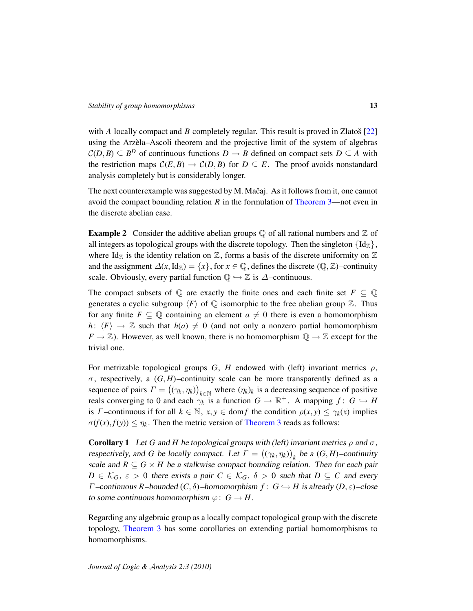with *A* locally compact and *B* completely regular. This result is proved in Zlatoš  $[22]$  $[22]$ using the Arzela–Ascoli theorem and the projective limit of the system of algebras `  $\mathcal{C}(D, B) \subseteq B^D$  of continuous functions  $D \to B$  defined on compact sets  $D \subseteq A$  with the restriction maps  $C(E, B) \to C(D, B)$  for  $D \subseteq E$ . The proof avoids nonstandard analysis completely but is considerably longer.

The next counterexample was suggested by M. Mačaj. As it follows from it, one cannot avoid the compact bounding relation *R* in the formulation of [Theorem 3—](#page-10-1)not even in the discrete abelian case.

**Example 2** Consider the additive abelian groups  $\mathbb Q$  of all rational numbers and  $\mathbb Z$  of all integers as topological groups with the discrete topology. Then the singleton  $\{Id_z\}$ , where Id<sub>Z</sub> is the identity relation on  $\mathbb{Z}$ , forms a basis of the discrete uniformity on  $\mathbb{Z}$ and the assignment  $\Delta(x, \text{Id}_{\mathbb{Z}}) = \{x\}$ , for  $x \in \mathbb{Q}$ , defines the discrete  $(\mathbb{Q}, \mathbb{Z})$ –continuity scale. Obviously, every partial function  $\mathbb{Q} \hookrightarrow \mathbb{Z}$  is  $\Delta$ –continuous.

The compact subsets of  $\mathbb Q$  are exactly the finite ones and each finite set  $F \subseteq \mathbb Q$ generates a cyclic subgroup  $\langle F \rangle$  of  $\mathbb Q$  isomorphic to the free abelian group  $\mathbb Z$ . Thus for any finite  $F \subseteq \mathbb{Q}$  containing an element  $a \neq 0$  there is even a homomorphism *h*:  $\langle F \rangle \rightarrow \mathbb{Z}$  such that  $h(a) \neq 0$  (and not only a nonzero partial homomorphism  $F \to \mathbb{Z}$ ). However, as well known, there is no homomorphism  $\mathbb{Q} \to \mathbb{Z}$  except for the trivial one.

For metrizable topological groups *G*, *H* endowed with (left) invariant metrics  $\rho$ ,  $\sigma$ , respectively, a  $(G, H)$ –continuity scale can be more transparently defined as a sequence of pairs  $\Gamma = ((\gamma_k, \eta_k))_{k \in \mathbb{N}}$  where  $(\eta_k)_k$  is a decreasing sequence of positive reals converging to 0 and each  $\gamma_k$  is a function  $G \to \mathbb{R}^+$ . A mapping  $f: G \hookrightarrow H$ is *Γ* –continuous if for all  $k \in \mathbb{N}$ ,  $x, y \in \text{dom } f$  the condition  $\rho(x, y) \leq \gamma_k(x)$  implies  $\sigma(f(x), f(y)) \leq \eta_k$ . Then the metric version of [Theorem 3](#page-10-1) reads as follows:

**Corollary 1** Let G and *H* be topological groups with (left) invariant metrics  $\rho$  and  $\sigma$ , respectively, and *G* be locally compact. Let  $\Gamma = ((\gamma_k, \eta_k))_k$  be a  $(G, H)$ -continuity scale and  $R \subseteq G \times H$  be a stalkwise compact bounding relation. Then for each pair  $D \in \mathcal{K}_G$ ,  $\varepsilon > 0$  there exists a pair  $C \in \mathcal{K}_G$ ,  $\delta > 0$  such that  $D \subseteq C$  and every *Γ* –continuous *R*–bounded (*C*, δ)–homomorphism *f* : *G* ← *H* is already (*D*,  $\varepsilon$ )–close to some continuous homomorphism  $\varphi: G \to H$ .

Regarding any algebraic group as a locally compact topological group with the discrete topology, [Theorem 3](#page-10-1) has some corollaries on extending partial homomorphisms to homomorphisms.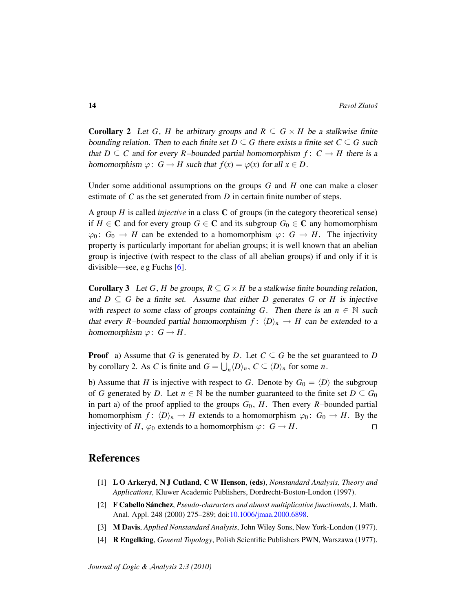**Corollary 2** Let *G*, *H* be arbitrary groups and  $R \subseteq G \times H$  be a stalkwise finite bounding relation. Then to each finite set  $D \subseteq G$  there exists a finite set  $C \subseteq G$  such that  $D \subseteq C$  and for every *R*–bounded partial homomorphism  $f: C \rightarrow H$  there is a homomorphism  $\varphi: G \to H$  such that  $f(x) = \varphi(x)$  for all  $x \in D$ .

Under some additional assumptions on the groups *G* and *H* one can make a closer estimate of *C* as the set generated from *D* in certain finite number of steps.

A group *H* is called *injective* in a class C of groups (in the category theoretical sense) if *H* ∈ **C** and for every group *G* ∈ **C** and its subgroup *G*<sub>0</sub> ∈ **C** any homomorphism  $\varphi_0: G_0 \to H$  can be extended to a homomorphism  $\varphi: G \to H$ . The injectivity property is particularly important for abelian groups; it is well known that an abelian group is injective (with respect to the class of all abelian groups) if and only if it is divisible—see, e g Fuchs [\[6\]](#page-14-18).

**Corollary 3** Let *G*, *H* be groups,  $R \subseteq G \times H$  be a stalkwise finite bounding relation, and  $D \subseteq G$  be a finite set. Assume that either *D* generates *G* or *H* is injective with respect to some class of groups containing *G*. Then there is an  $n \in \mathbb{N}$  such that every *R*–bounded partial homomorphism  $f: \langle D \rangle_n \to H$  can be extended to a homomorphism  $\varphi: G \to H$ .

**Proof** a) Assume that *G* is generated by *D*. Let  $C \subseteq G$  be the set guaranteed to *D* by corollary 2. As *C* is finite and  $G = \bigcup_n \langle D \rangle_n$ ,  $C \subseteq \langle D \rangle_n$  for some *n*.

b) Assume that *H* is injective with respect to *G*. Denote by  $G_0 = \langle D \rangle$  the subgroup of *G* generated by *D*. Let  $n \in \mathbb{N}$  be the number guaranteed to the finite set  $D \subseteq G_0$ in part a) of the proof applied to the groups  $G_0$ ,  $H$ . Then every  $R$ –bounded partial homomorphism  $f: \langle D \rangle_n \to H$  extends to a homomorphism  $\varphi_0: G_0 \to H$ . By the injectivity of *H*,  $\varphi_0$  extends to a homomorphism  $\varphi: G \to H$ .  $\Box$ 

### References

- <span id="page-13-3"></span>[1] L O Arkeryd, N J Cutland, C W Henson, (eds), *Nonstandard Analysis, Theory and Applications*, Kluwer Academic Publishers, Dordrecht-Boston-London (1997).
- <span id="page-13-1"></span>[2] **F Cabello Sánchez**, *Pseudo-characters and almost multiplicative functionals*, J. Math. Anal. Appl. 248 (2000) 275–289; doi[:10.1006/jmaa.2000.6898.](http://dx.doi.org/10.1006/jmaa.2000.6898)
- <span id="page-13-2"></span>[3] M Davis, *Applied Nonstandard Analysis*, John Wiley Sons, New York-London (1977).
- <span id="page-13-0"></span>[4] R Engelking, *General Topology*, Polish Scientific Publishers PWN, Warszawa (1977).